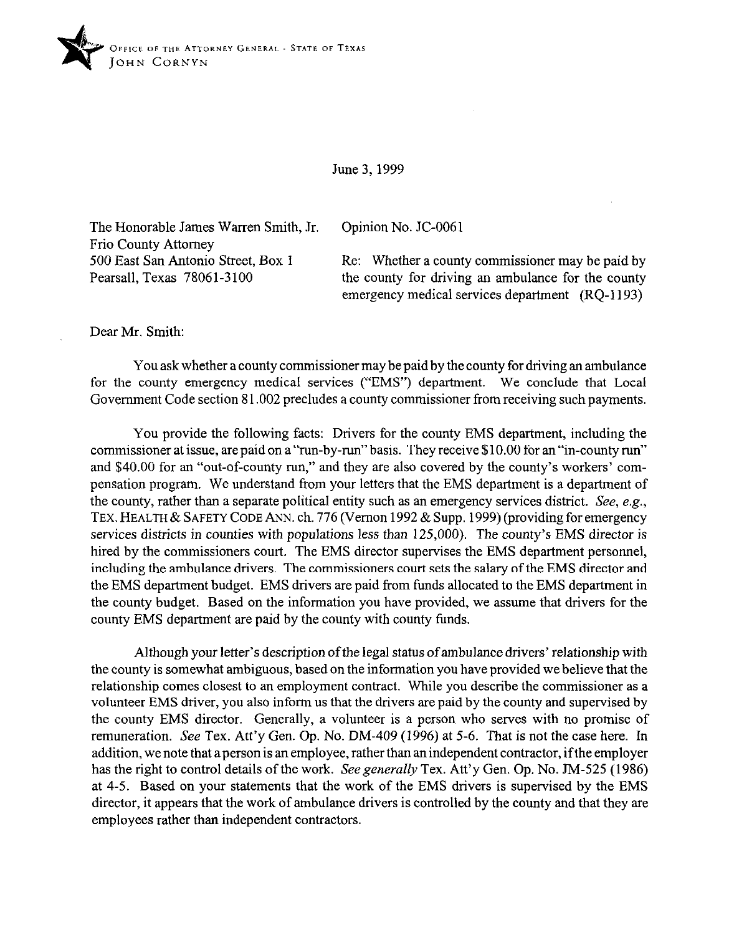

## June 3,1999

The Honorable James Warren Smith, Jr. Opinion No. JC-0061 Frio County Attorney

500 East San Antonio Street, Box 1 Re: Whether a county commissioner may be paid by Pearsall, Texas 78061-3100 the county for driving an ambulance for the county emergency medical services department (RQ-I 193)

Dear Mr. Smith:

You ask whether a county commissioner may be paid by the county for driving an ambulance for the county emergency medical services ("EMS") department. We conclude that Local Government Code section 81.002 precludes a county commissioner from receiving such payments.

You provide the following facts: Drivers for the county EMS department, including the commissioner at issue, arepaid on a "run-by-run" basis. They receive \$10.00 for an "in-county run" and \$40.00 for an "out-of-county run," and they are also covered by the county's workers' compensation program. We understand from your letters that the EMS department is a department of the county, rather than a separate political entity such as an emergency services district. See, e.g., TEX. HEALTH & SAFETY CODE ANN. ch. 776 (Vernon 1992 & Supp. 1999) (providing for emergency *services* districts in counties with populations less than 125,000). The county's EMS director is hired by the commissioners court. The EMS director supervises the EMS department personnel, including the ambulance drivers. The commissioners court sets the salary of the EMS director and the EMS department budget. EMS drivers are paid from funds allocated to the EMS department in the county budget. Based on the information you have provided, we assume that drivers for the county EMS department are paid by the county with county funds.

Although your letter's description of the legal status of ambulance drivers' relationship with the county is somewhat ambiguous, baaed on the information you have provided we believe that the relationship comes closest to an employment contract. While you describe the commissioner as a volunteer EMS driver, you also inform us that the drivers are paid by the county and supervised by the county EMS director. Generally, a volunteer is a person who serves with no promise of remuneration. See Tex. Att'y Gen. Op. No. DM-409 (1996) at 5-6. That is not the case here. In addition, we note that a person is an employee, rather than an independent contractor, ifthe employer has the right to control details of the work. See generally Tex. Att'y Gen. Op. No. JM-525 (1986) at 4-5. Based on your statements that the work of the EMS drivers is supervised by the EMS director, it appears that the work of ambulance drivers is controlled by the county and that they are employees rather than independent contractors.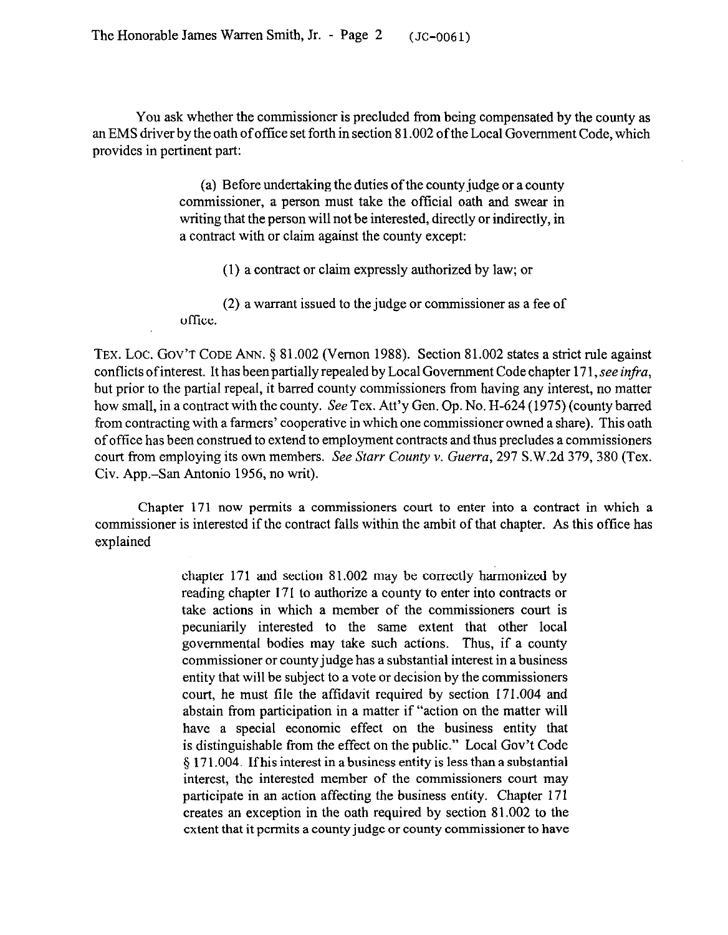You ask whether the commissioner is precluded from being compensated by the county as an EMS driver by the oath of oftice set forth in section 81.002 of the Local Government Code, which provides in pertinent part:

> (a) Before undertaking the duties of the county judge or a county commissioner, a person must take the official oath and swear in writing that the person will not be interested, directly or indirectly, in a contract with or claim against the county except:

(1) a contract or claim expressly authorized by law; or

(2) a warrant issued to the judge or commissioner as a fee of office.

TEX. LOC. GOV'T CODE ANN. § 81.002 (Vernon 1988). Section 81.002 states a strict rule against conflicts ofinterest. It has been partially repealed by Local Government Code chapter 171, *see infru,*  but prior to the partial repeal, it barred county commissioners from having any interest, no matter how small, in a contract with the county. See Tex. Att'y Gen. Op. No. H-624 (1975) (county barred from contracting with a farmers' cooperative in which one commissioner owned a share). This oath of office has been construed to extend to employment contracts and thus precludes a commissioners court from employing its own members. See *Starr County v. Guerru, 297* S.W.2d 379, 380 (Tex. Civ. Ape.-San Antonio 1956, no writ).

Chapter 171 now permits a commissioners court to enter into a contract in which a commissioner is interested if the contract falls within the ambit of that chapter. As this office has explained

> chapter 171 and section 81.002 may be correctly harmonized by reading chapter 171 to authorize a county to enter into contracts or take actions in which a member of the commissioners court is pecuniarily interested to the same extent that other local governmental bodies may take such actions. Thus, if a county commissioner or county judge has a substantial interest in a business entity that will be subject to a vote or decision by the commissioners court, he must file the affidavit required by section 171.004 and abstain from participation in a matter if "action on the matter will have a special economic effect on the business entity that is distinguishable from the effect on the public." Local Gov't Code 5 171.004. Ifhis interest in a business entity is less than a substantial interest, the interested member of the commissioners court may participate in an action affecting the business entity. Chapter 171 creates an exception in the oath required by section 81.002 to the extent that it permits a county judge or county commissioner to have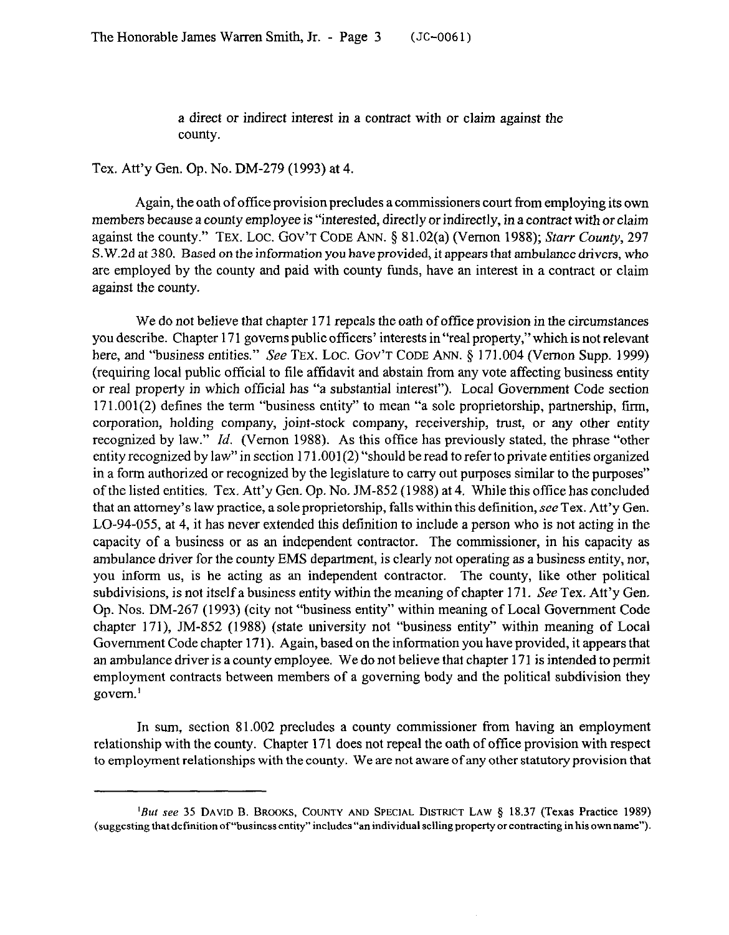a direct or indirect interest in a contract with or claim against the county.

Tex. Att'y Gen. Op. No. DM-279 (1993) at 4.

Again, the oath of office provision precludes a commissioners court from employing its own members because a county employee is "interested, directly or indirectly, in a contract with or claim against the county." TEX. LOC. GOV'T CODE ANN. § 81.02(a) (Vernon 1988); *Starr County*, 297 S. W.2d at 380. Based on the information you have provided, it appears that ambulance drivers, who are employed by the county and paid with county funds, have an interest in a contract or claim against the county.

We do not believe that chapter 171 repeals the oath of office provision in the circumstances you describe. Chapter 171 governs public officers' interests in "real property," which is not relevant here, and "business entities." See TEX. LOC. GOV'T CODE ANN. § 171.004 (Vernon Supp. 1999) (requiring local public official to tile affidavit and abstain from any vote affecting business entity or real property in which official has "a substantial interest"). Local Government Code section 17 1 .001(2) defines the term "business entity" to mean "a sole proprietorship, partnership, firm, corporation, holding company, joint-stock company, receivership, trust, or any other entity recognized by law." *Id.* (Vernon 1988). As this office has previously stated, the phrase "other entity recognized by law" in section 171.001(2) "should be read to refer to private entities organized in a form authorized or recognized by the legislature to carry out purposes similar to the purposes" of the listed entities. Tex. Att'y Gen. Op. No. N-852 (1988) at 4. While this office has concluded that an attorney's law practice, a sole proprietorship, falls within this definition, see Tex. Att'y Gen. LO-94-055, at 4, it has never extended this definition to include a person who is not acting in the capacity of a business or as an independent contractor. The commissioner, in his capacity as ambulance driver for the county EMS department, is clearly not operating as a business entity, nor, you inform us, is he acting as an independent contractor. The county, like other political subdivisions, is not itself a business entity within the meaning of chapter 171. See Tex. Att'y Gen. Op. Nos. DM-267 (1993) (city not "business entity" within meaning of Local Government Code chapter 171), JM-852 (1988) (state university not "business entity" within meaning of Local Government Code chapter 171). Again, based on the information you have provided, it appears that an ambulance driver is a county employee. We do not believe that chapter 171 is intended to permit employment contracts between members of a governing body and the political subdivision they govern.'

In sum, section 81.002 precludes a county commissioner from having an employment relationship with the county. Chapter 171 does not repeal the oath of office provision with respect to employment relationships with the county. We are not aware of any other statutory provision that

<sup>&#</sup>x27;But see 35 DAVID B. BROOKS, COUNTY AND SPECIAL DISTRICT LAW \$ 18.37 (Texas Practice 1989) (suggesting that definition of "business entity" includes "an individual selling property or contracting in his own name").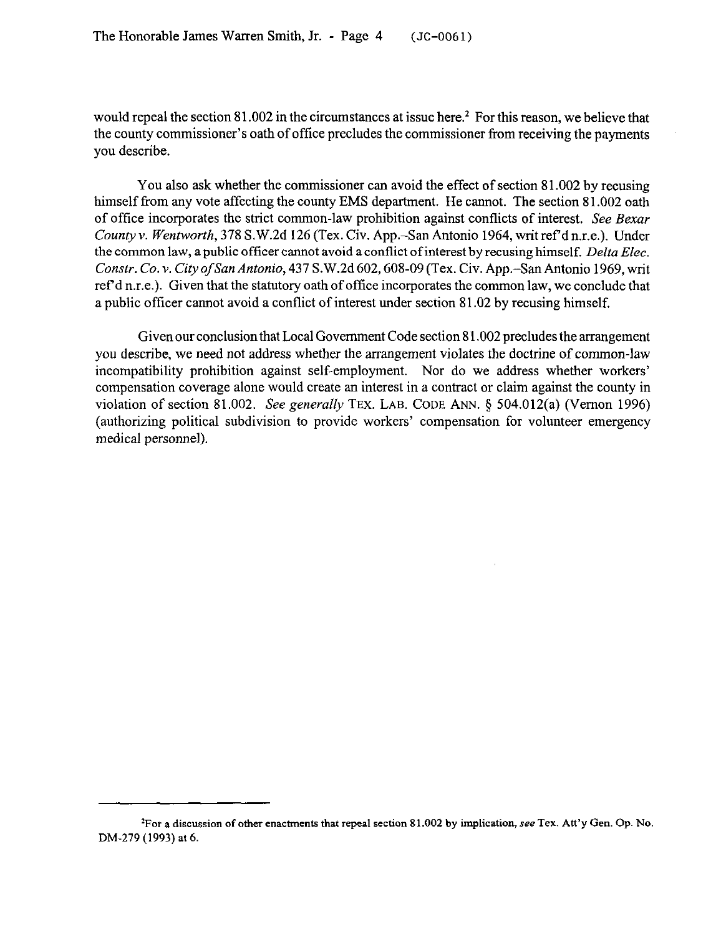would repeal the section 81.002 in the circumstances at issue here.<sup>2</sup> For this reason, we believe that the county commissioner's oath of office precludes the commissioner from receiving the payments you describe.

You also ask whether the commissioner can avoid the effect of section 81.002 by recusing himself from any vote affecting the county EMS department. He cannot. The section 81.002 oath of office incorporates the strict common-law prohibition against conflicts of interest. See Bexar *County Y. Wentworth,* 378 S.W.2d 126 (Tex. Civ. App.-San Antonio 1964, writ ref d n.r.e.). Under the common law, a public officer cannot avoid a conflict of interest by recusing himself. Delta Elec. *Constr. Co. v. CityofSanAntonio,437* S.W,2d602,608-09(Tex. Civ. App.-SanAntonio 1969,writ ref d n.r.e.). Given that the statutory oath of office incorporates the common law, we conclude that a public officer cannot avoid a conflict of interest under section 81.02 by recusing himself.

Given our conclusion that Local Government Code section 8 1.002 precludes the arrangement you describe, we need not address whether the arrangement violates the doctrine of common-law incompatibility prohibition against self-employment. Nor do we address whether workers' compensation coverage alone would create an interest in a contract or claim against the county in violation of section 81.002. See *generally* TEX. LAB. CODE ANN. 5 504.012(a) (Vernon 1996) (authorizing political subdivision to provide workers' compensation for volunteer emergency medical personnel).

<sup>&</sup>lt;sup>2</sup>For a discussion of other enactments that repeal section 81.002 by implication, see Tex. Att'y Gen. Op. No. DM-279 (1993) at 6.